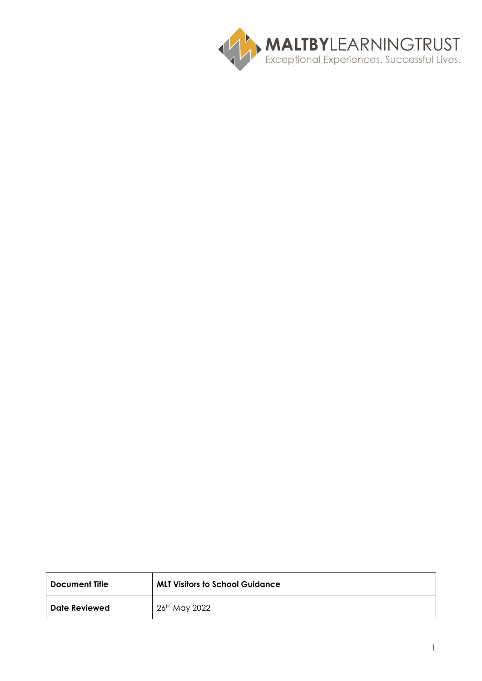

| Document Title       | <b>MLT Visitors to School Guidance</b> |
|----------------------|----------------------------------------|
| <b>Date Reviewed</b> | 26th May 2022                          |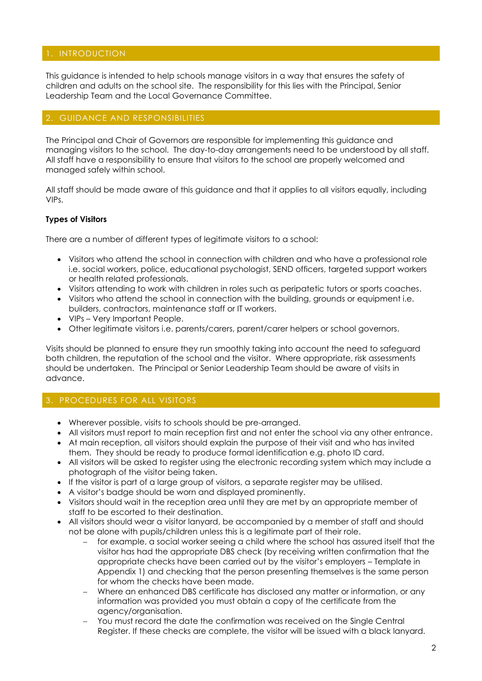# 1. INTRODUCTION

This guidance is intended to help schools manage visitors in a way that ensures the safety of children and adults on the school site. The responsibility for this lies with the Principal, Senior Leadership Team and the Local Governance Committee.

# GUIDANCE AND RESPONSIBILITIES

The Principal and Chair of Governors are responsible for implementing this guidance and managing visitors to the school. The day-to-day arrangements need to be understood by all staff. All staff have a responsibility to ensure that visitors to the school are properly welcomed and managed safely within school.

All staff should be made aware of this guidance and that it applies to all visitors equally, including VIPs.

### **Types of Visitors**

There are a number of different types of legitimate visitors to a school:

- Visitors who attend the school in connection with children and who have a professional role i.e. social workers, police, educational psychologist, SEND officers, targeted support workers or health related professionals.
- Visitors attending to work with children in roles such as peripatetic tutors or sports coaches.
- Visitors who attend the school in connection with the building, grounds or equipment i.e. builders, contractors, maintenance staff or IT workers.
- VIPs Very Important People.
- Other legitimate visitors i.e. parents/carers, parent/carer helpers or school governors.

Visits should be planned to ensure they run smoothly taking into account the need to safeguard both children, the reputation of the school and the visitor. Where appropriate, risk assessments should be undertaken. The Principal or Senior Leadership Team should be aware of visits in advance.

# 3. PROCEDURES FOR ALL VISITORS

- Wherever possible, visits to schools should be pre-arranged.
- All visitors must report to main reception first and not enter the school via any other entrance.
- At main reception, all visitors should explain the purpose of their visit and who has invited them. They should be ready to produce formal identification e.g. photo ID card.
- All visitors will be asked to register using the electronic recording system which may include a photograph of the visitor being taken.
- If the visitor is part of a large group of visitors, a separate register may be utilised.
- A visitor's badge should be worn and displayed prominently.
- Visitors should wait in the reception area until they are met by an appropriate member of staff to be escorted to their destination.
- All visitors should wear a visitor lanyard, be accompanied by a member of staff and should not be alone with pupils/children unless this is a legitimate part of their role.
	- for example, a social worker seeing a child where the school has assured itself that the visitor has had the appropriate DBS check (by receiving written confirmation that the appropriate checks have been carried out by the visitor's employers – Template in Appendix 1) and checking that the person presenting themselves is the same person for whom the checks have been made.
	- − Where an enhanced DBS certificate has disclosed any matter or information, or any information was provided you must obtain a copy of the certificate from the agency/organisation.
	- You must record the date the confirmation was received on the Single Central Register. If these checks are complete, the visitor will be issued with a black lanyard.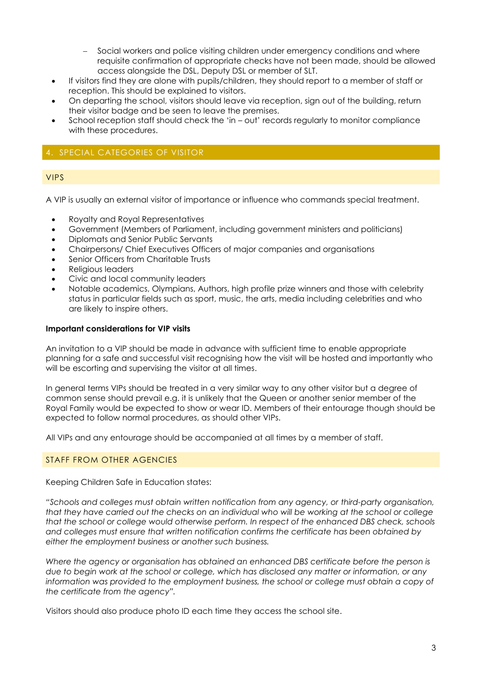- Social workers and police visiting children under emergency conditions and where requisite confirmation of appropriate checks have not been made, should be allowed access alongside the DSL, Deputy DSL or member of SLT.
- If visitors find they are alone with pupils/children, they should report to a member of staff or reception. This should be explained to visitors.
- On departing the school, visitors should leave via reception, sign out of the building, return their visitor badge and be seen to leave the premises.
- School reception staff should check the 'in out' records regularly to monitor compliance with these procedures.

# 4. SPECIAL CATEGORIES OF VISITOR

# VIPS

A VIP is usually an external visitor of importance or influence who commands special treatment.

- Royalty and Royal Representatives
- Government (Members of Parliament, including government ministers and politicians)
- Diplomats and Senior Public Servants
- Chairpersons/ Chief Executives Officers of major companies and organisations
- Senior Officers from Charitable Trusts
- Religious leaders
- Civic and local community leaders
- Notable academics, Olympians, Authors, high profile prize winners and those with celebrity status in particular fields such as sport, music, the arts, media including celebrities and who are likely to inspire others.

### **Important considerations for VIP visits**

An invitation to a VIP should be made in advance with sufficient time to enable appropriate planning for a safe and successful visit recognising how the visit will be hosted and importantly who will be escorting and supervising the visitor at all times.

In general terms VIPs should be treated in a very similar way to any other visitor but a degree of common sense should prevail e.g. it is unlikely that the Queen or another senior member of the Royal Family would be expected to show or wear ID. Members of their entourage though should be expected to follow normal procedures, as should other VIPs.

All VIPs and any entourage should be accompanied at all times by a member of staff.

# STAFF FROM OTHER AGENCIES

Keeping Children Safe in Education states:

*"Schools and colleges must obtain written notification from any agency, or third-party organisation, that they have carried out the checks on an individual who will be working at the school or college that the school or college would otherwise perform. In respect of the enhanced DBS check, schools and colleges must ensure that written notification confirms the certificate has been obtained by either the employment business or another such business.* 

*Where the agency or organisation has obtained an enhanced DBS certificate before the person is due to begin work at the school or college, which has disclosed any matter or information, or any information was provided to the employment business, the school or college must obtain a copy of the certificate from the agency".*

Visitors should also produce photo ID each time they access the school site.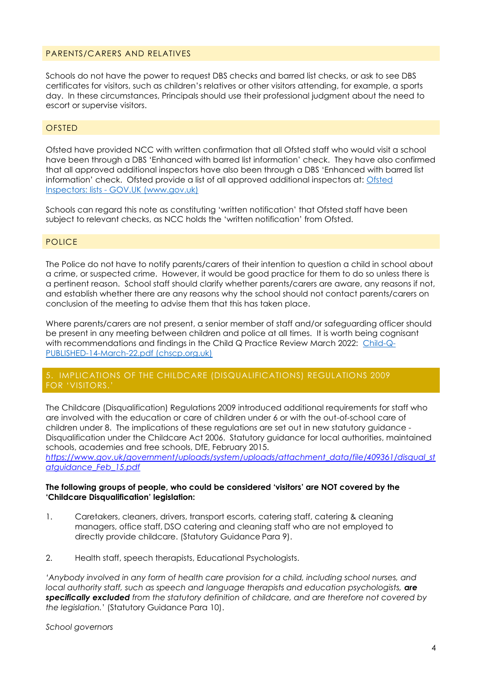### PARENTS/CARERS AND RELATIVES

Schools do not have the power to request DBS checks and barred list checks, or ask to see DBS certificates for visitors, such as children's relatives or other visitors attending, for example, a sports day. In these circumstances, Principals should use their professional judgment about the need to escort or supervise visitors.

### **OFSTED**

Ofsted have provided NCC with written confirmation that all Ofsted staff who would visit a school have been through a DBS 'Enhanced with barred list information' check. They have also confirmed that all approved additional inspectors have also been through a DBS 'Enhanced with barred list information' check. Ofsted provide a list of all approved additional inspectors at: [Ofsted](https://www.gov.uk/government/publications/ofsted-inspectors-list)  Inspectors: lists - [GOV.UK \(www.gov.uk\)](https://www.gov.uk/government/publications/ofsted-inspectors-list)

Schools can regard this note as constituting 'written notification' that Ofsted staff have been subject to relevant checks, as NCC holds the 'written notification' from Ofsted.

### **POLICE**

The Police do not have to notify parents/carers of their intention to question a child in school about a crime, or suspected crime. However, it would be good practice for them to do so unless there is a pertinent reason. School staff should clarify whether parents/carers are aware, any reasons if not, and establish whether there are any reasons why the school should not contact parents/carers on conclusion of the meeting to advise them that this has taken place.

Where parents/carers are not present, a senior member of staff and/or safeguarding officer should be present in any meeting between children and police at all times. It is worth being cognisant with recommendations and findings in the Child Q Practice Review March 2022: [Child-Q-](https://chscp.org.uk/wp-content/uploads/2022/03/Child-Q-PUBLISHED-14-March-22.pdf)[PUBLISHED-14-March-22.pdf \(chscp.org.uk\)](https://chscp.org.uk/wp-content/uploads/2022/03/Child-Q-PUBLISHED-14-March-22.pdf)

### 5. IMPLICATIONS OF THE CHILDCARE (DISQUALIFICATIONS) REGULATIONS 2009 FOR 'VISITORS.'

The Childcare (Disqualification) Regulations 2009 introduced additional requirements for staff who are involved with the education or care of children under 6 or with the out-of-school care of children under 8. The implications of these regulations are set out in new statutory guidance - Disqualification under the Childcare Act 2006. Statutory guidance for local authorities, maintained schools, academies and free schools, DfE, February 2015.

*[https://www.gov.uk/government/uploads/system/uploads/attachment\\_data/file/409361/disqual\\_st](https://fwa.nottscc.gov.uk/owa/redir.aspx?C=n-O3AlcaeU2OqJUw4dxBcnrNaGBHMNIIx_cKghZo-OG9zEFGHHpnWRIlvnlI1S-i4Z7s82paE0s.&URL=https%3a%2f%2fwww.gov.uk%2fgovernment%2fuploads%2fsystem%2fuploads%2fattachment_data%2ffile%2f409361%2fdisqual_stat-guidance_Feb_15.pdf) [atguidance\\_Feb\\_15.pdf](https://fwa.nottscc.gov.uk/owa/redir.aspx?C=n-O3AlcaeU2OqJUw4dxBcnrNaGBHMNIIx_cKghZo-OG9zEFGHHpnWRIlvnlI1S-i4Z7s82paE0s.&URL=https%3a%2f%2fwww.gov.uk%2fgovernment%2fuploads%2fsystem%2fuploads%2fattachment_data%2ffile%2f409361%2fdisqual_stat-guidance_Feb_15.pdf)*

#### **The following groups of people, who could be considered 'visitors' are NOT covered by the 'Childcare Disqualification' legislation:**

- 1. Caretakers, cleaners, drivers, transport escorts, catering staff, catering & cleaning managers, office staff, DSO catering and cleaning staff who are not employed to directly provide childcare. (Statutory Guidance Para 9).
- 2. Health staff, speech therapists, Educational Psychologists.

'Anybody involved in any form of health care provision for a child, including school nurses, and *local authority staff, such as speech and language therapists and education psychologists, are specifically excluded from the statutory definition of childcare, and are therefore not covered by the legislation.*' (Statutory Guidance Para 10).

*School governors*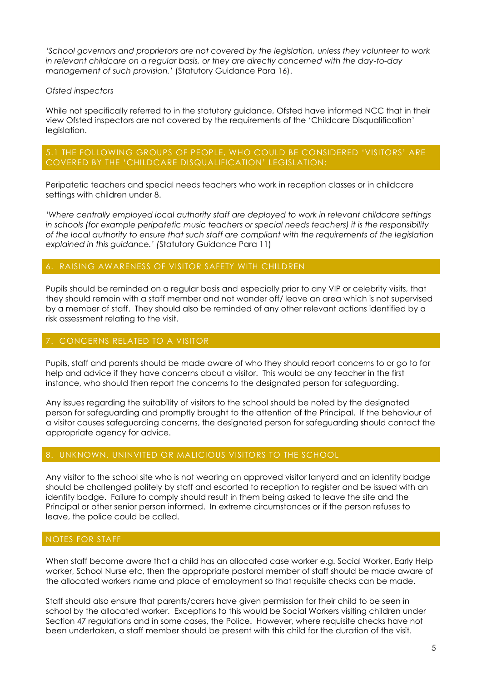*'School governors and proprietors are not covered by the legislation, unless they volunteer to work in relevant childcare on a regular basis, or they are directly concerned with the day-to-day management of such provision.'* (Statutory Guidance Para 16).

# *Ofsted inspectors*

While not specifically referred to in the statutory guidance, Ofsted have informed NCC that in their view Ofsted inspectors are not covered by the requirements of the 'Childcare Disqualification' legislation.

# 5.1 THE FOLLOWING GROUPS OF PEOPLE, WHO COULD BE CONSIDERED 'VISITORS' ARE COVERED BY THE 'CHILDCARE DISQUALIFICATION' LEGISLATION:

Peripatetic teachers and special needs teachers who work in reception classes or in childcare settings with children under 8.

*'Where centrally employed local authority staff are deployed to work in relevant childcare settings in schools (for example peripatetic music teachers or special needs teachers) it is the responsibility of the local authority to ensure that such staff are compliant with the requirements of the legislation explained in this guidance.' (*Statutory Guidance Para 11)

# 6. RAISING AWARENESS OF VISITOR SAFETY WITH CHILDREN

Pupils should be reminded on a regular basis and especially prior to any VIP or celebrity visits, that they should remain with a staff member and not wander off/ leave an area which is not supervised by a member of staff. They should also be reminded of any other relevant actions identified by a risk assessment relating to the visit.

# 7. CONCERNS RELATED TO A VISITOR

Pupils, staff and parents should be made aware of who they should report concerns to or go to for help and advice if they have concerns about a visitor. This would be any teacher in the first instance, who should then report the concerns to the designated person for safeguarding.

Any issues regarding the suitability of visitors to the school should be noted by the designated person for safeguarding and promptly brought to the attention of the Principal. If the behaviour of a visitor causes safeguarding concerns, the designated person for safeguarding should contact the appropriate agency for advice.

### 8. UNKNOWN, UNINVITED OR MALICIOUS VISITORS TO THE SCHOOL

Any visitor to the school site who is not wearing an approved visitor lanyard and an identity badge should be challenged politely by staff and escorted to reception to register and be issued with an identity badge. Failure to comply should result in them being asked to leave the site and the Principal or other senior person informed. In extreme circumstances or if the person refuses to leave, the police could be called.

### NOTES FOR STAFF

When staff become aware that a child has an allocated case worker e.g. Social Worker, Early Help worker, School Nurse etc, then the appropriate pastoral member of staff should be made aware of the allocated workers name and place of employment so that requisite checks can be made.

Staff should also ensure that parents/carers have given permission for their child to be seen in school by the allocated worker. Exceptions to this would be Social Workers visiting children under Section 47 regulations and in some cases, the Police. However, where requisite checks have not been undertaken, a staff member should be present with this child for the duration of the visit.